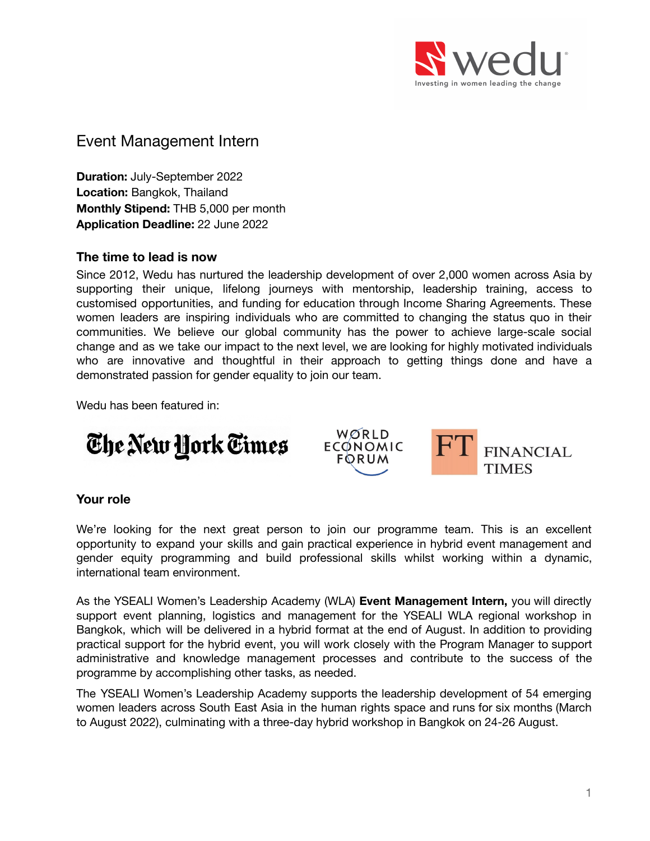

# Event Management Intern

**Duration:** July-September 2022 **Location:** Bangkok, Thailand **Monthly Stipend:** THB 5,000 per month **Application Deadline:** 22 June 2022

#### **The time to lead is now**

Since 2012, Wedu has nurtured the leadership development of over 2,000 women across Asia by supporting their unique, lifelong journeys with mentorship, leadership training, access to customised opportunities, and funding for education through Income Sharing Agreements. These women leaders are inspiring individuals who are committed to changing the status quo in their communities. We believe our global community has the power to achieve large-scale social change and as we take our impact to the next level, we are looking for highly motivated individuals who are innovative and thoughtful in their approach to getting things done and have a demonstrated passion for gender equality to join our team.

Wedu has been featured in:





#### **Your role**

We're looking for the next great person to join our programme team. This is an excellent opportunity to expand your skills and gain practical experience in hybrid event management and gender equity programming and build professional skills whilst working within a dynamic, international team environment.

As the YSEALI Women's Leadership Academy (WLA) **Event Management Intern,** you will directly support event planning, logistics and management for the YSEALI WLA regional workshop in Bangkok, which will be delivered in a hybrid format at the end of August. In addition to providing practical support for the hybrid event, you will work closely with the Program Manager to support administrative and knowledge management processes and contribute to the success of the programme by accomplishing other tasks, as needed.

The YSEALI Women's Leadership Academy supports the leadership development of 54 emerging women leaders across South East Asia in the human rights space and runs for six months (March to August 2022), culminating with a three-day hybrid workshop in Bangkok on 24-26 August.